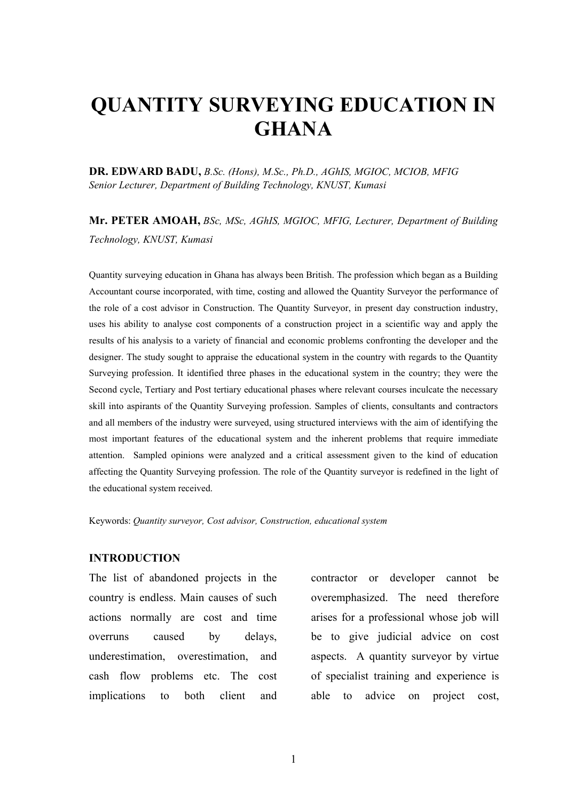# **QUANTITY SURVEYING EDUCATION IN GHANA**

**DR. EDWARD BADU,** *B.Sc. (Hons), M.Sc., Ph.D., AGhIS, MGIOC, MCIOB, MFIG Senior Lecturer, Department of Building Technology, KNUST, Kumasi*

**Mr. PETER AMOAH,** *BSc, MSc, AGhIS, MGIOC, MFIG, Lecturer, Department of Building Technology, KNUST, Kumasi*

Quantity surveying education in Ghana has always been British. The profession which began as a Building Accountant course incorporated, with time, costing and allowed the Quantity Surveyor the performance of the role of a cost advisor in Construction. The Quantity Surveyor, in present day construction industry, uses his ability to analyse cost components of a construction project in a scientific way and apply the results of his analysis to a variety of financial and economic problems confronting the developer and the designer. The study sought to appraise the educational system in the country with regards to the Quantity Surveying profession. It identified three phases in the educational system in the country; they were the Second cycle, Tertiary and Post tertiary educational phases where relevant courses inculcate the necessary skill into aspirants of the Quantity Surveying profession. Samples of clients, consultants and contractors and all members of the industry were surveyed, using structured interviews with the aim of identifying the most important features of the educational system and the inherent problems that require immediate attention. Sampled opinions were analyzed and a critical assessment given to the kind of education affecting the Quantity Surveying profession. The role of the Quantity surveyor is redefined in the light of the educational system received.

Keywords: *Quantity surveyor, Cost advisor, Construction, educational system*

#### **INTRODUCTION**

The list of abandoned projects in the country is endless. Main causes of such actions normally are cost and time overruns caused by delays, underestimation, overestimation, and cash flow problems etc. The cost implications to both client and

contractor or developer cannot be overemphasized. The need therefore arises for a professional whose job will be to give judicial advice on cost aspects. A quantity surveyor by virtue of specialist training and experience is able to advice on project cost,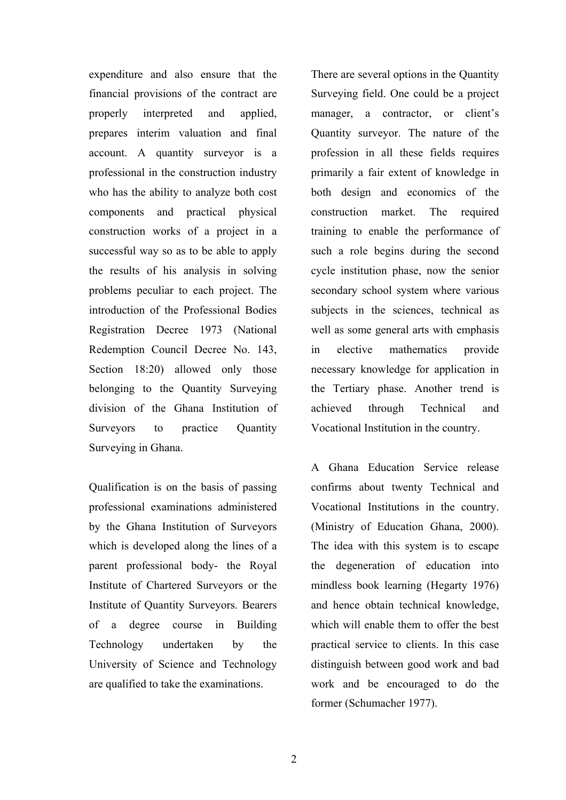expenditure and also ensure that the financial provisions of the contract are properly interpreted and applied, prepares interim valuation and final account. A quantity surveyor is a professional in the construction industry who has the ability to analyze both cost components and practical physical construction works of a project in a successful way so as to be able to apply the results of his analysis in solving problems peculiar to each project. The introduction of the Professional Bodies Registration Decree 1973 (National Redemption Council Decree No. 143, Section 18:20) allowed only those belonging to the Quantity Surveying division of the Ghana Institution of Surveyors to practice Quantity Surveying in Ghana.

Qualification is on the basis of passing professional examinations administered by the Ghana Institution of Surveyors which is developed along the lines of a parent professional body- the Royal Institute of Chartered Surveyors or the Institute of Quantity Surveyors. Bearers of a degree course in Building Technology undertaken by the University of Science and Technology are qualified to take the examinations.

There are several options in the Quantity Surveying field. One could be a project manager, a contractor, or client's Quantity surveyor. The nature of the profession in all these fields requires primarily a fair extent of knowledge in both design and economics of the construction market. The required training to enable the performance of such a role begins during the second cycle institution phase, now the senior secondary school system where various subjects in the sciences, technical as well as some general arts with emphasis in elective mathematics provide necessary knowledge for application in the Tertiary phase. Another trend is achieved through Technical and Vocational Institution in the country.

A Ghana Education Service release confirms about twenty Technical and Vocational Institutions in the country. (Ministry of Education Ghana, 2000). The idea with this system is to escape the degeneration of education into mindless book learning (Hegarty 1976) and hence obtain technical knowledge, which will enable them to offer the best practical service to clients. In this case distinguish between good work and bad work and be encouraged to do the former (Schumacher 1977).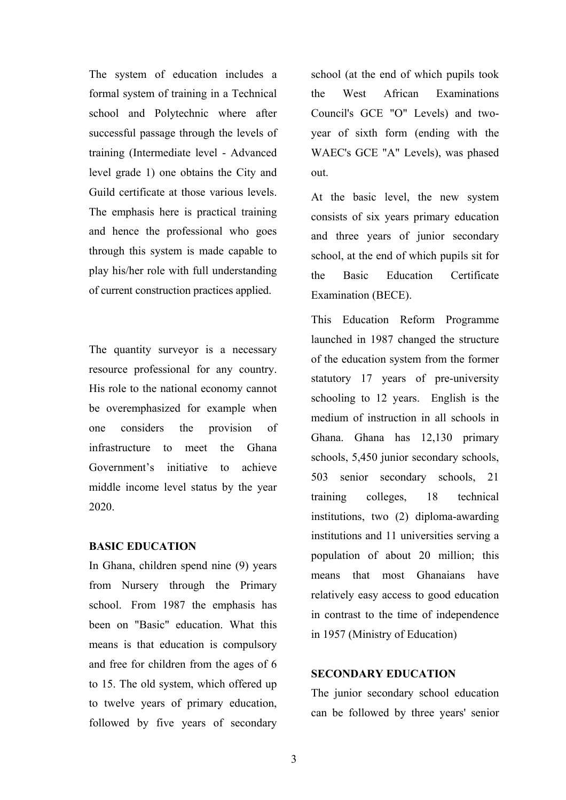The system of education includes a formal system of training in a Technical school and Polytechnic where after successful passage through the levels of training (Intermediate level - Advanced level grade 1) one obtains the City and Guild certificate at those various levels. The emphasis here is practical training and hence the professional who goes through this system is made capable to play his/her role with full understanding of current construction practices applied.

The quantity surveyor is a necessary resource professional for any country. His role to the national economy cannot be overemphasized for example when one considers the provision of infrastructure to meet the Ghana Government's initiative to achieve middle income level status by the year 2020.

#### **BASIC EDUCATION**

In Ghana, children spend nine (9) years from Nursery through the Primary school. From 1987 the emphasis has been on "Basic" education. What this means is that education is compulsory and free for children from the ages of 6 to 15. The old system, which offered up to twelve years of primary education, followed by five years of secondary school (at the end of which pupils took the West African Examinations Council's GCE "O" Levels) and twoyear of sixth form (ending with the WAEC's GCE "A" Levels), was phased out.

At the basic level, the new system consists of six years primary education and three years of junior secondary school, at the end of which pupils sit for the Basic Education Certificate Examination (BECE).

This Education Reform Programme launched in 1987 changed the structure of the education system from the former statutory 17 years of pre-university schooling to 12 years. English is the medium of instruction in all schools in Ghana. Ghana has 12,130 primary schools, 5,450 junior secondary schools, 503 senior secondary schools, 21 training colleges, 18 technical institutions, two (2) diploma-awarding institutions and 11 universities serving a population of about 20 million; this means that most Ghanaians have relatively easy access to good education in contrast to the time of independence in 1957 (Ministry of Education)

### **SECONDARY EDUCATION**

The junior secondary school education can be followed by three years' senior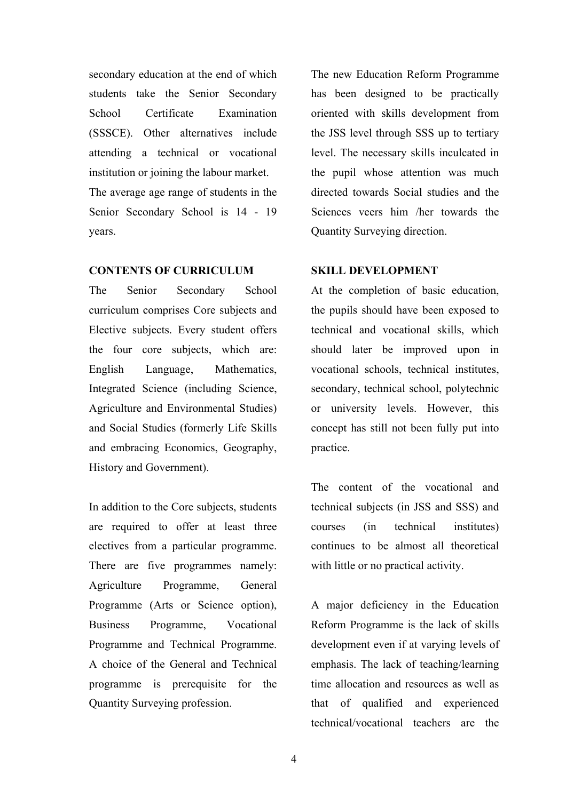secondary education at the end of which students take the Senior Secondary School Certificate Examination (SSSCE). Other alternatives include attending a technical or vocational institution or joining the labour market. The average age range of students in the

Senior Secondary School is 14 - 19 years.

#### **CONTENTS OF CURRICULUM**

The Senior Secondary School curriculum comprises Core subjects and Elective subjects. Every student offers the four core subjects, which are: English Language, Mathematics, Integrated Science (including Science, Agriculture and Environmental Studies) and Social Studies (formerly Life Skills and embracing Economics, Geography, History and Government).

In addition to the Core subjects, students are required to offer at least three electives from a particular programme. There are five programmes namely: Agriculture Programme, General Programme (Arts or Science option), Business Programme, Vocational Programme and Technical Programme. A choice of the General and Technical programme is prerequisite for the Quantity Surveying profession.

The new Education Reform Programme has been designed to be practically oriented with skills development from the JSS level through SSS up to tertiary level. The necessary skills inculcated in the pupil whose attention was much directed towards Social studies and the Sciences veers him /her towards the Quantity Surveying direction.

#### **SKILL DEVELOPMENT**

At the completion of basic education, the pupils should have been exposed to technical and vocational skills, which should later be improved upon in vocational schools, technical institutes, secondary, technical school, polytechnic or university levels. However, this concept has still not been fully put into practice.

The content of the vocational and technical subjects (in JSS and SSS) and courses (in technical institutes) continues to be almost all theoretical with little or no practical activity.

A major deficiency in the Education Reform Programme is the lack of skills development even if at varying levels of emphasis. The lack of teaching/learning time allocation and resources as well as that of qualified and experienced technical/vocational teachers are the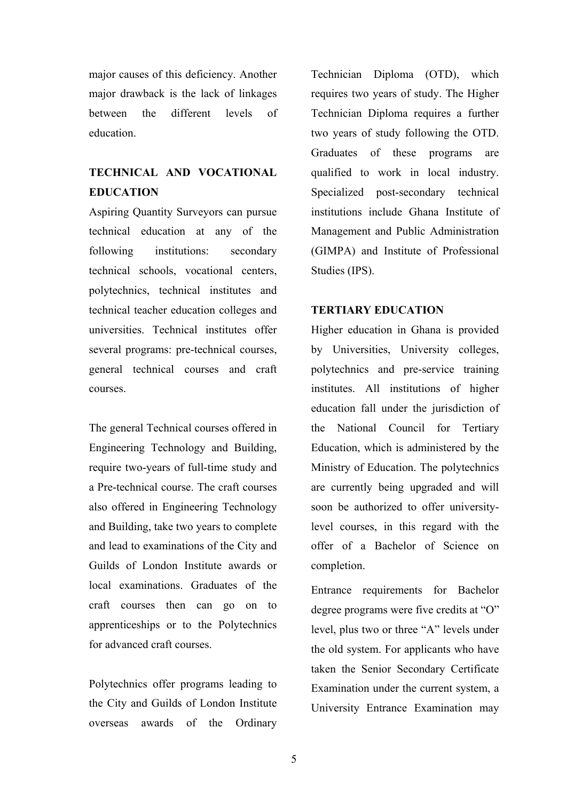major causes of this deficiency. Another major drawback is the lack of linkages between the different levels of education.

# **TECHNICAL AND VOCATIONAL EDUCATION**

Aspiring Quantity Surveyors can pursue technical education at any of the following institutions: secondary technical schools, vocational centers, polytechnics, technical institutes and technical teacher education colleges and universities. Technical institutes offer several programs: pre-technical courses, general technical courses and craft courses.

The general Technical courses offered in Engineering Technology and Building, require two-years of full-time study and a Pre-technical course. The craft courses also offered in Engineering Technology and Building, take two years to complete and lead to examinations of the City and Guilds of London Institute awards or local examinations. Graduates of the craft courses then can go on to apprenticeships or to the Polytechnics for advanced craft courses.

Polytechnics offer programs leading to the City and Guilds of London Institute overseas awards of the Ordinary

Technician Diploma (OTD), which requires two years of study. The Higher Technician Diploma requires a further two years of study following the OTD. Graduates of these programs are qualified to work in local industry. Specialized post-secondary technical institutions include Ghana Institute of Management and Public Administration (GIMPA) and Institute of Professional Studies (IPS).

#### **TERTIARY EDUCATION**

Higher education in Ghana is provided by Universities, University colleges, polytechnics and pre-service training institutes. All institutions of higher education fall under the jurisdiction of the National Council for Tertiary Education, which is administered by the Ministry of Education. The polytechnics are currently being upgraded and will soon be authorized to offer universitylevel courses, in this regard with the offer of a Bachelor of Science on completion.

Entrance requirements for Bachelor degree programs were five credits at "O" level, plus two or three "A" levels under the old system. For applicants who have taken the Senior Secondary Certificate Examination under the current system, a University Entrance Examination may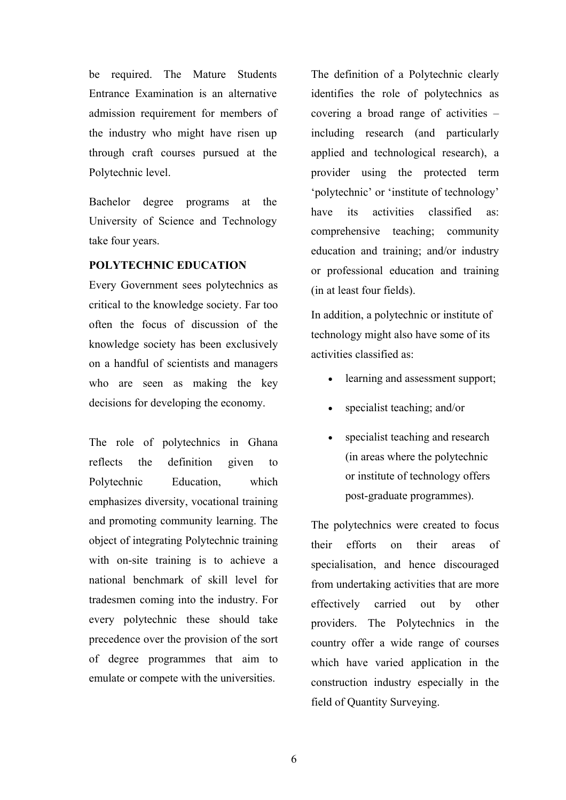be required. The Mature Students Entrance Examination is an alternative admission requirement for members of the industry who might have risen up through craft courses pursued at the Polytechnic level.

Bachelor degree programs at the University of Science and Technology take four years.

### **POLYTECHNIC EDUCATION**

Every Government sees polytechnics as critical to the knowledge society. Far too often the focus of discussion of the knowledge society has been exclusively on a handful of scientists and managers who are seen as making the key decisions for developing the economy.

The role of polytechnics in Ghana reflects the definition given to Polytechnic Education, which emphasizes diversity, vocational training and promoting community learning. The object of integrating Polytechnic training with on-site training is to achieve a national benchmark of skill level for tradesmen coming into the industry. For every polytechnic these should take precedence over the provision of the sort of degree programmes that aim to emulate or compete with the universities.

The definition of a Polytechnic clearly identifies the role of polytechnics as covering a broad range of activities – including research (and particularly applied and technological research), a provider using the protected term 'polytechnic' or 'institute of technology' have its activities classified as comprehensive teaching; community education and training; and/or industry or professional education and training (in at least four fields).

In addition, a polytechnic or institute of technology might also have some of its activities classified as:

- learning and assessment support;
- specialist teaching; and/or
- specialist teaching and research (in areas where the polytechnic or institute of technology offers post-graduate programmes).

The polytechnics were created to focus their efforts on their areas of specialisation, and hence discouraged from undertaking activities that are more effectively carried out by other providers. The Polytechnics in the country offer a wide range of courses which have varied application in the construction industry especially in the field of Quantity Surveying.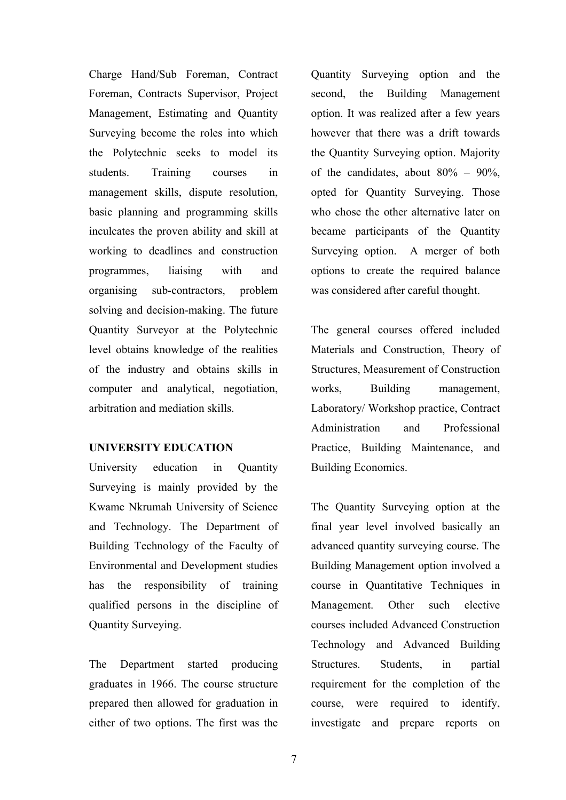Charge Hand/Sub Foreman, Contract Foreman, Contracts Supervisor, Project Management, Estimating and Quantity Surveying become the roles into which the Polytechnic seeks to model its students. Training courses in management skills, dispute resolution, basic planning and programming skills inculcates the proven ability and skill at working to deadlines and construction programmes, liaising with and organising sub-contractors, problem solving and decision-making. The future Quantity Surveyor at the Polytechnic level obtains knowledge of the realities of the industry and obtains skills in computer and analytical, negotiation, arbitration and mediation skills.

#### **UNIVERSITY EDUCATION**

University education in Quantity Surveying is mainly provided by the Kwame Nkrumah University of Science and Technology. The Department of Building Technology of the Faculty of Environmental and Development studies has the responsibility of training qualified persons in the discipline of Quantity Surveying.

The Department started producing graduates in 1966. The course structure prepared then allowed for graduation in either of two options. The first was the

Quantity Surveying option and the second, the Building Management option. It was realized after a few years however that there was a drift towards the Quantity Surveying option. Majority of the candidates, about  $80\% - 90\%$ . opted for Quantity Surveying. Those who chose the other alternative later on became participants of the Quantity Surveying option. A merger of both options to create the required balance was considered after careful thought.

The general courses offered included Materials and Construction, Theory of Structures, Measurement of Construction works, Building management, Laboratory/ Workshop practice, Contract Administration and Professional Practice, Building Maintenance, and Building Economics.

The Quantity Surveying option at the final year level involved basically an advanced quantity surveying course. The Building Management option involved a course in Quantitative Techniques in Management. Other such elective courses included Advanced Construction Technology and Advanced Building Structures. Students, in partial requirement for the completion of the course, were required to identify, investigate and prepare reports on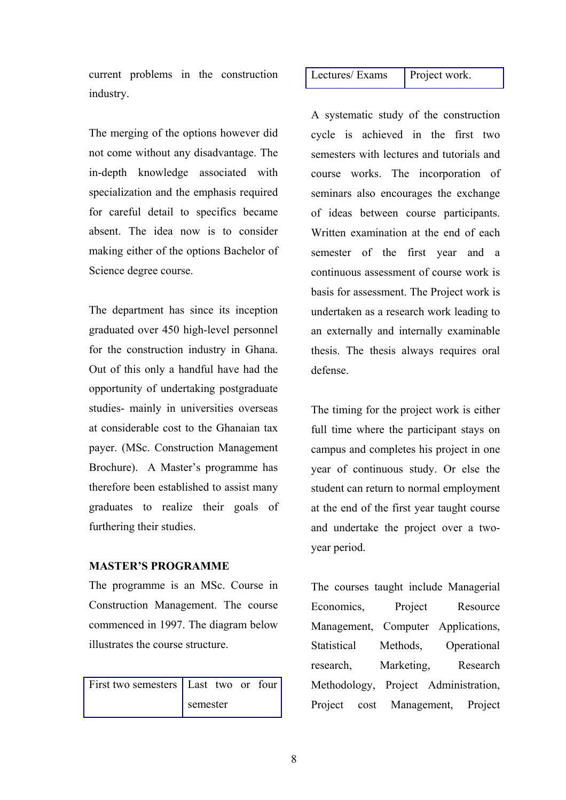current problems in the construction industry.

The merging of the options however did not come without any disadvantage. The in-depth knowledge associated with specialization and the emphasis required for careful detail to specifics became absent. The idea now is to consider making either of the options Bachelor of Science degree course.

The department has since its inception graduated over 450 high-level personnel for the construction industry in Ghana. Out of this only a handful have had the opportunity of undertaking postgraduate studies- mainly in universities overseas at considerable cost to the Ghanaian tax payer. (MSc. Construction Management Brochure). A Master's programme has therefore been established to assist many graduates to realize their goals of furthering their studies.

#### **MASTER'S PROGRAMME**

The programme is an MSc. Course in Construction Management. The course commenced in 1997. The diagram below illustrates the course structure.

| First two semesters   Last two or four |          |  |  |  |
|----------------------------------------|----------|--|--|--|
|                                        | semester |  |  |  |

#### Lectures/ Exams Project work.

A systematic study of the construction cycle is achieved in the first two semesters with lectures and tutorials and course works. The incorporation of seminars also encourages the exchange of ideas between course participants. Written examination at the end of each semester of the first year and a continuous assessment of course work is basis for assessment. The Project work is undertaken as a research work leading to an externally and internally examinable thesis. The thesis always requires oral defense.

The timing for the project work is either full time where the participant stays on campus and completes his project in one year of continuous study. Or else the student can return to normal employment at the end of the first year taught course and undertake the project over a twoyear period.

The courses taught include Managerial Economics, Project Resource Management, Computer Applications, Statistical Methods, Operational research, Marketing, Research Methodology, Project Administration, Project cost Management, Project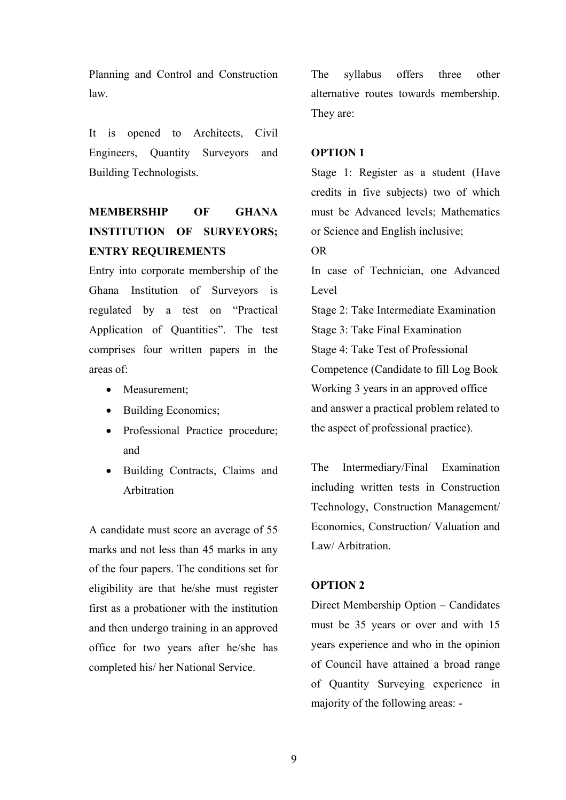Planning and Control and Construction law.

It is opened to Architects, Civil Engineers, Quantity Surveyors and Building Technologists.

# **MEMBERSHIP OF GHANA INSTITUTION OF SURVEYORS; ENTRY REQUIREMENTS**

Entry into corporate membership of the Ghana Institution of Surveyors is regulated by a test on "Practical Application of Quantities". The test comprises four written papers in the areas of:

- Measurement;
- Building Economics;
- Professional Practice procedure; and
- Building Contracts, Claims and Arbitration

A candidate must score an average of 55 marks and not less than 45 marks in any of the four papers. The conditions set for eligibility are that he/she must register first as a probationer with the institution and then undergo training in an approved office for two years after he/she has completed his/ her National Service.

The syllabus offers three other alternative routes towards membership. They are:

#### **OPTION 1**

Stage 1: Register as a student (Have credits in five subjects) two of which must be Advanced levels; Mathematics or Science and English inclusive;

OR

In case of Technician, one Advanced Level

Stage 2: Take Intermediate Examination Stage 3: Take Final Examination Stage 4: Take Test of Professional Competence (Candidate to fill Log Book Working 3 years in an approved office and answer a practical problem related to the aspect of professional practice).

The Intermediary/Final Examination including written tests in Construction Technology, Construction Management/ Economics, Construction/ Valuation and Law/ Arbitration.

#### **OPTION 2**

Direct Membership Option – Candidates must be 35 years or over and with 15 years experience and who in the opinion of Council have attained a broad range of Quantity Surveying experience in majority of the following areas: -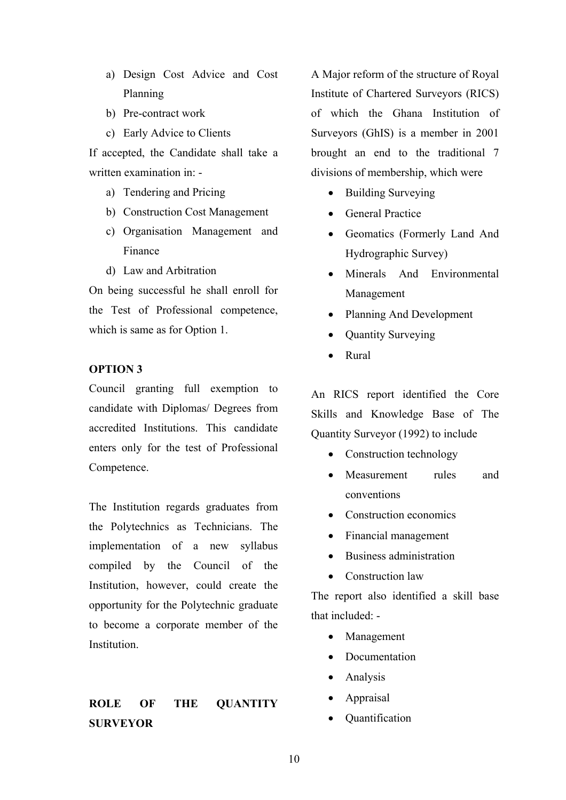- a) Design Cost Advice and Cost Planning
- b) Pre-contract work
- c) Early Advice to Clients

If accepted, the Candidate shall take a written examination in: -

- a) Tendering and Pricing
- b) Construction Cost Management
- c) Organisation Management and Finance
- d) Law and Arbitration

On being successful he shall enroll for the Test of Professional competence, which is same as for Option 1.

### **OPTION 3**

Council granting full exemption to candidate with Diplomas/ Degrees from accredited Institutions. This candidate enters only for the test of Professional Competence.

The Institution regards graduates from the Polytechnics as Technicians. The implementation of a new syllabus compiled by the Council of the Institution, however, could create the opportunity for the Polytechnic graduate to become a corporate member of the Institution.

## **ROLE OF THE QUANTITY SURVEYOR**

A Major reform of the structure of Royal Institute of Chartered Surveyors (RICS) of which the Ghana Institution of Surveyors (GhIS) is a member in 2001 brought an end to the traditional 7 divisions of membership, which were

- Building Surveying
- General Practice
- Geomatics (Formerly Land And Hydrographic Survey)
- Minerals And Environmental Management
- Planning And Development
- Quantity Surveying
- Rural

An RICS report identified the Core Skills and Knowledge Base of The Quantity Surveyor (1992) to include

- Construction technology
- Measurement rules and conventions
- Construction economics
- Financial management
- Business administration
- Construction law

The report also identified a skill base that included: -

- Management
- Documentation
- Analysis
- Appraisal
- Quantification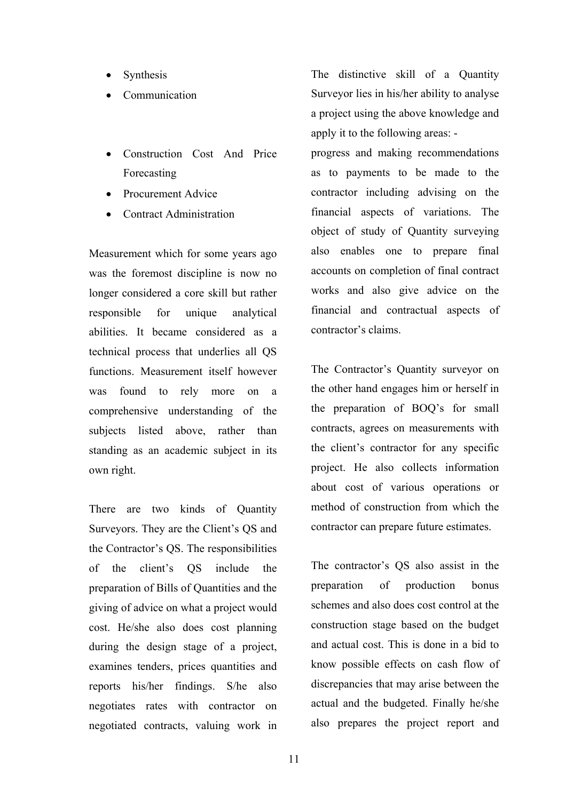- **Synthesis**
- Communication
- Construction Cost And Price Forecasting
- Procurement Advice
- Contract Administration

Measurement which for some years ago was the foremost discipline is now no longer considered a core skill but rather responsible for unique analytical abilities. It became considered as a technical process that underlies all QS functions. Measurement itself however was found to rely more on a comprehensive understanding of the subjects listed above, rather than standing as an academic subject in its own right.

There are two kinds of Quantity Surveyors. They are the Client's QS and the Contractor's QS. The responsibilities of the client's QS include the preparation of Bills of Quantities and the giving of advice on what a project would cost. He/she also does cost planning during the design stage of a project, examines tenders, prices quantities and reports his/her findings. S/he also negotiates rates with contractor on negotiated contracts, valuing work in

The distinctive skill of a Quantity Surveyor lies in his/her ability to analyse a project using the above knowledge and apply it to the following areas: -

progress and making recommendations as to payments to be made to the contractor including advising on the financial aspects of variations. The object of study of Quantity surveying also enables one to prepare final accounts on completion of final contract works and also give advice on the financial and contractual aspects of contractor's claims.

The Contractor's Quantity surveyor on the other hand engages him or herself in the preparation of BOQ's for small contracts, agrees on measurements with the client's contractor for any specific project. He also collects information about cost of various operations or method of construction from which the contractor can prepare future estimates.

The contractor's QS also assist in the preparation of production bonus schemes and also does cost control at the construction stage based on the budget and actual cost. This is done in a bid to know possible effects on cash flow of discrepancies that may arise between the actual and the budgeted. Finally he/she also prepares the project report and